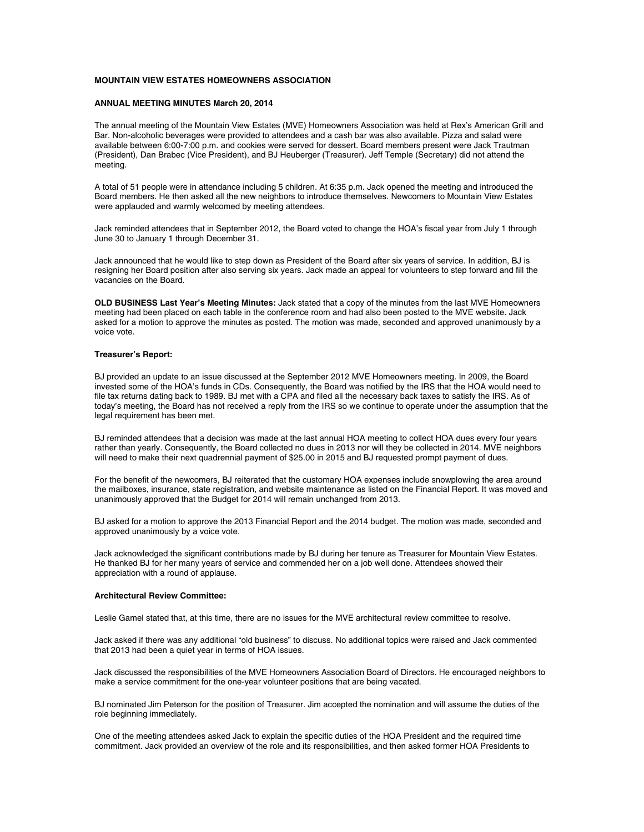# **MOUNTAIN VIEW ESTATES HOMEOWNERS ASSOCIATION**

# **ANNUAL MEETING MINUTES March 20, 2014**

The annual meeting of the Mountain View Estates (MVE) Homeowners Association was held at Rex's American Grill and Bar. Non-alcoholic beverages were provided to attendees and a cash bar was also available. Pizza and salad were available between 6:00-7:00 p.m. and cookies were served for dessert. Board members present were Jack Trautman (President), Dan Brabec (Vice President), and BJ Heuberger (Treasurer). Jeff Temple (Secretary) did not attend the meeting.

A total of 51 people were in attendance including 5 children. At 6:35 p.m. Jack opened the meeting and introduced the Board members. He then asked all the new neighbors to introduce themselves. Newcomers to Mountain View Estates were applauded and warmly welcomed by meeting attendees.

Jack reminded attendees that in September 2012, the Board voted to change the HOA's fiscal year from July 1 through June 30 to January 1 through December 31.

Jack announced that he would like to step down as President of the Board after six years of service. In addition, BJ is resigning her Board position after also serving six years. Jack made an appeal for volunteers to step forward and fill the vacancies on the Board.

**OLD BUSINESS Last Year's Meeting Minutes:** Jack stated that a copy of the minutes from the last MVE Homeowners meeting had been placed on each table in the conference room and had also been posted to the MVE website. Jack asked for a motion to approve the minutes as posted. The motion was made, seconded and approved unanimously by a voice vote.

#### **Treasurer's Report:**

BJ provided an update to an issue discussed at the September 2012 MVE Homeowners meeting. In 2009, the Board invested some of the HOA's funds in CDs. Consequently, the Board was notified by the IRS that the HOA would need to file tax returns dating back to 1989. BJ met with a CPA and filed all the necessary back taxes to satisfy the IRS. As of today's meeting, the Board has not received a reply from the IRS so we continue to operate under the assumption that the legal requirement has been met.

BJ reminded attendees that a decision was made at the last annual HOA meeting to collect HOA dues every four years rather than yearly. Consequently, the Board collected no dues in 2013 nor will they be collected in 2014. MVE neighbors will need to make their next quadrennial payment of \$25.00 in 2015 and BJ requested prompt payment of dues.

For the benefit of the newcomers, BJ reiterated that the customary HOA expenses include snowplowing the area around the mailboxes, insurance, state registration, and website maintenance as listed on the Financial Report. It was moved and unanimously approved that the Budget for 2014 will remain unchanged from 2013.

BJ asked for a motion to approve the 2013 Financial Report and the 2014 budget. The motion was made, seconded and approved unanimously by a voice vote.

Jack acknowledged the significant contributions made by BJ during her tenure as Treasurer for Mountain View Estates. He thanked BJ for her many years of service and commended her on a job well done. Attendees showed their appreciation with a round of applause.

### **Architectural Review Committee:**

Leslie Gamel stated that, at this time, there are no issues for the MVE architectural review committee to resolve.

Jack asked if there was any additional "old business" to discuss. No additional topics were raised and Jack commented that 2013 had been a quiet year in terms of HOA issues.

Jack discussed the responsibilities of the MVE Homeowners Association Board of Directors. He encouraged neighbors to make a service commitment for the one-year volunteer positions that are being vacated.

BJ nominated Jim Peterson for the position of Treasurer. Jim accepted the nomination and will assume the duties of the role beginning immediately.

One of the meeting attendees asked Jack to explain the specific duties of the HOA President and the required time commitment. Jack provided an overview of the role and its responsibilities, and then asked former HOA Presidents to